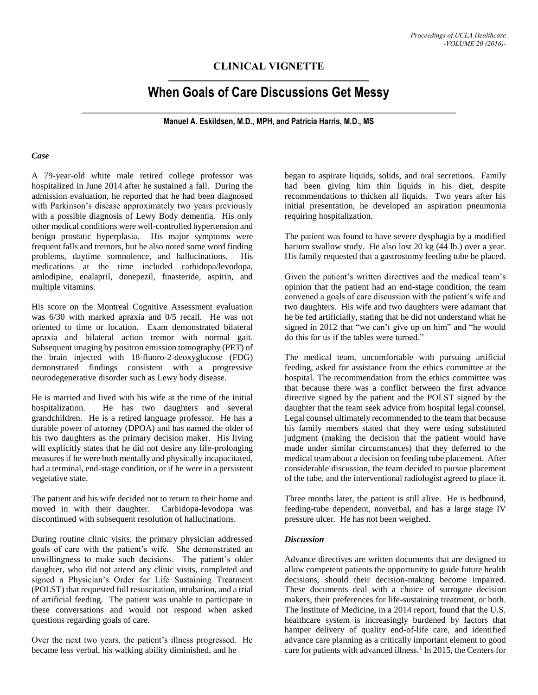## **CLINICAL VIGNETTE**

# **When Goals of Care Discussions Get Messy**

**Manuel A. Eskildsen, M.D., MPH, and Patricia Harris, M.D., MS**

#### *Case*

A 79-year-old white male retired college professor was hospitalized in June 2014 after he sustained a fall. During the admission evaluation, he reported that he had been diagnosed with Parkinson's disease approximately two years previously with a possible diagnosis of Lewy Body dementia. His only other medical conditions were well-controlled hypertension and benign prostatic hyperplasia. His major symptoms were frequent falls and tremors, but he also noted some word finding problems, daytime somnolence, and hallucinations. His medications at the time included carbidopa/levodopa, amlodipine, enalapril, donepezil, finasteride, aspirin, and multiple vitamins.

His score on the Montreal Cognitive Assessment evaluation was 6/30 with marked apraxia and 0/5 recall. He was not oriented to time or location. Exam demonstrated bilateral apraxia and bilateral action tremor with normal gait. Subsequent imaging by positron emission tomography (PET) of the brain injected with 18-fluoro-2-deoxyglucose (FDG) demonstrated findings consistent with a progressive neurodegenerative disorder such as Lewy body disease.

He is married and lived with his wife at the time of the initial hospitalization. He has two daughters and several grandchildren. He is a retired language professor. He has a durable power of attorney (DPOA) and has named the older of his two daughters as the primary decision maker. His living will explicitly states that he did not desire any life-prolonging measures if he were both mentally and physically incapacitated, had a terminal, end-stage condition, or if he were in a persistent vegetative state.

The patient and his wife decided not to return to their home and moved in with their daughter. Carbidopa-levodopa was discontinued with subsequent resolution of hallucinations.

During routine clinic visits, the primary physician addressed goals of care with the patient's wife. She demonstrated an unwillingness to make such decisions. The patient's older daughter, who did not attend any clinic visits, completed and signed a Physician's Order for Life Sustaining Treatment (POLST) that requested full resuscitation, intubation, and a trial of artificial feeding. The patient was unable to participate in these conversations and would not respond when asked questions regarding goals of care.

Over the next two years, the patient's illness progressed. He became less verbal, his walking ability diminished, and he

began to aspirate liquids, solids, and oral secretions. Family had been giving him thin liquids in his diet, despite recommendations to thicken all liquids. Two years after his initial presentation, he developed an aspiration pneumonia requiring hospitalization.

The patient was found to have severe dysphagia by a modified barium swallow study. He also lost 20 kg (44 lb.) over a year. His family requested that a gastrostomy feeding tube be placed.

Given the patient's written directives and the medical team's opinion that the patient had an end-stage condition, the team convened a goals of care discussion with the patient's wife and two daughters. His wife and two daughters were adamant that he be fed artificially, stating that he did not understand what he signed in 2012 that "we can't give up on him" and "he would do this for us if the tables were turned."

The medical team, uncomfortable with pursuing artificial feeding, asked for assistance from the ethics committee at the hospital. The recommendation from the ethics committee was that because there was a conflict between the first advance directive signed by the patient and the POLST signed by the daughter that the team seek advice from hospital legal counsel. Legal counsel ultimately recommended to the team that because his family members stated that they were using substituted judgment (making the decision that the patient would have made under similar circumstances) that they deferred to the medical team about a decision on feeding tube placement. After considerable discussion, the team decided to pursue placement of the tube, and the interventional radiologist agreed to place it.

Three months later, the patient is still alive. He is bedbound, feeding-tube dependent, nonverbal, and has a large stage IV pressure ulcer. He has not been weighed.

#### *Discussion*

Advance directives are written documents that are designed to allow competent patients the opportunity to guide future health decisions, should their decision-making become impaired. These documents deal with a choice of surrogate decision makers, their preferences for life-sustaining treatment, or both. The Institute of Medicine, in a 2014 report, found that the U.S. healthcare system is increasingly burdened by factors that hamper delivery of quality end-of-life care, and identified advance care planning as a critically important element to good care for patients with advanced illness.<sup>1</sup> In 2015, the Centers for